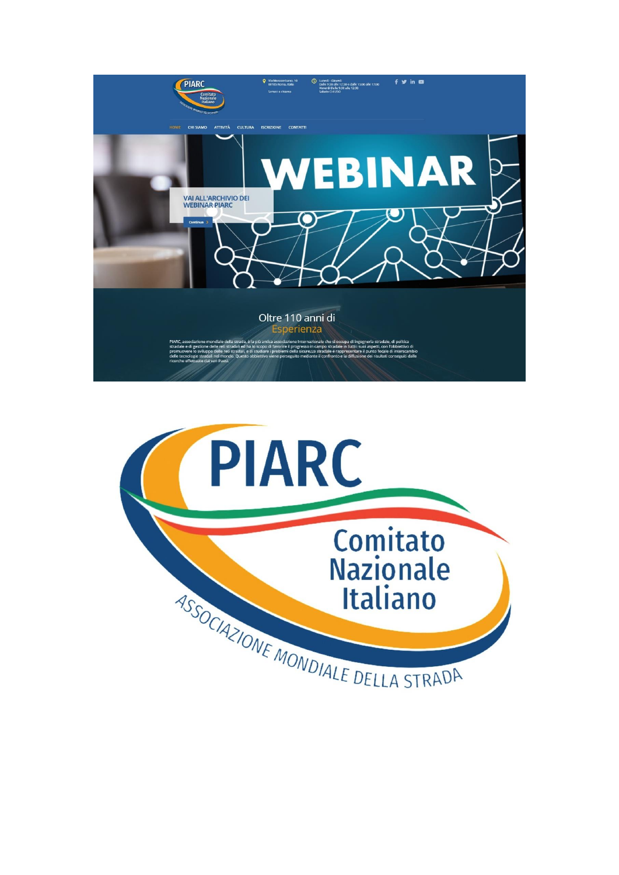

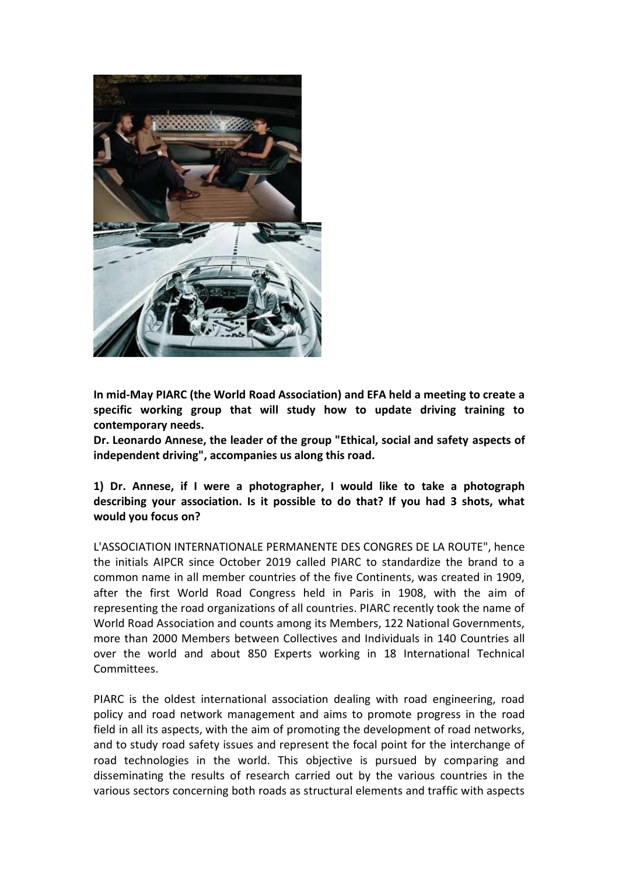

**In mid-May PIARC (the World Road Association) and EFA held a meeting to create a specific working group that will study how to update driving training to contemporary needs.**

**Dr. Leonardo Annese, the leader of the group "Ethical, social and safety aspects of independent driving", accompanies us along this road.**

**1) Dr. Annese, if I were a photographer, I would like to take a photograph describing your association. Is it possible to do that? If you had 3 shots, what would you focus on?**

L'ASSOCIATION INTERNATIONALE PERMANENTE DES CONGRES DE LA ROUTE", hence the initials AIPCR since October 2019 called PIARC to standardize the brand to a common name in all member countries of the five Continents, was created in 1909, after the first World Road Congress held in Paris in 1908, with the aim of representing the road organizations of all countries. PIARC recently took the name of World Road Association and counts among its Members, 122 National Governments, more than 2000 Members between Collectives and Individuals in 140 Countries all over the world and about 850 Experts working in 18 International Technical Committees.

PIARC is the oldest international association dealing with road engineering, road policy and road network management and aims to promote progress in the road field in all its aspects, with the aim of promoting the development of road networks, and to study road safety issues and represent the focal point for the interchange of road technologies in the world. This objective is pursued by comparing and disseminating the results of research carried out by the various countries in the various sectors concerning both roads as structural elements and traffic with aspects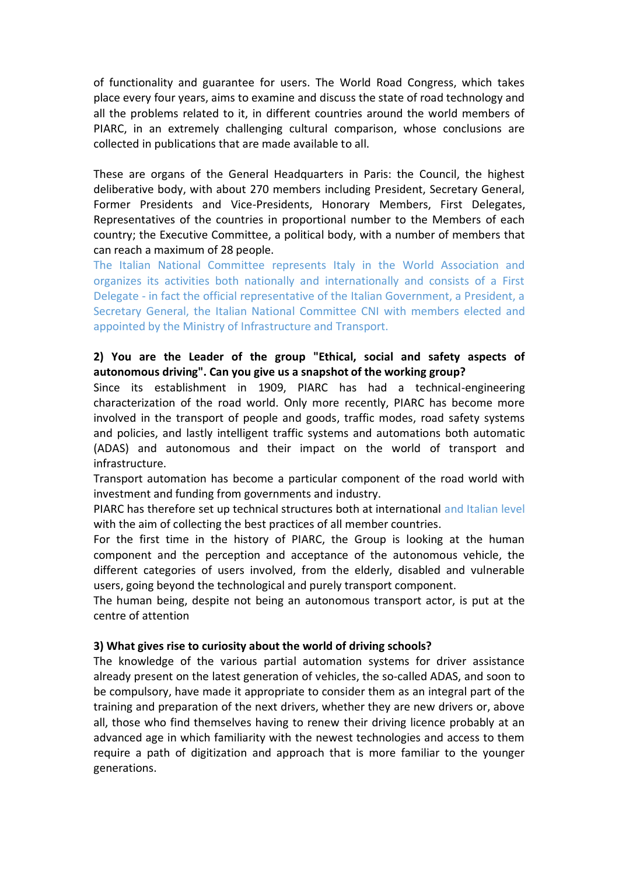of functionality and guarantee for users. The World Road Congress, which takes place every four years, aims to examine and discuss the state of road technology and all the problems related to it, in different countries around the world members of PIARC, in an extremely challenging cultural comparison, whose conclusions are collected in publications that are made available to all.

These are organs of the General Headquarters in Paris: the Council, the highest deliberative body, with about 270 members including President, Secretary General, Former Presidents and Vice-Presidents, Honorary Members, First Delegates, Representatives of the countries in proportional number to the Members of each country; the Executive Committee, a political body, with a number of members that can reach a maximum of 28 people.

The Italian National Committee represents Italy in the World Association and organizes its activities both nationally and internationally and consists of a First Delegate - in fact the official representative of the Italian Government, a President, a Secretary General, the Italian National Committee CNI with members elected and appointed by the Ministry of Infrastructure and Transport.

## **2) You are the Leader of the group "Ethical, social and safety aspects of autonomous driving". Can you give us a snapshot of the working group?**

Since its establishment in 1909, PIARC has had a technical-engineering characterization of the road world. Only more recently, PIARC has become more involved in the transport of people and goods, traffic modes, road safety systems and policies, and lastly intelligent traffic systems and automations both automatic (ADAS) and autonomous and their impact on the world of transport and infrastructure.

Transport automation has become a particular component of the road world with investment and funding from governments and industry.

PIARC has therefore set up technical structures both at international and Italian level with the aim of collecting the best practices of all member countries.

For the first time in the history of PIARC, the Group is looking at the human component and the perception and acceptance of the autonomous vehicle, the different categories of users involved, from the elderly, disabled and vulnerable users, going beyond the technological and purely transport component.

The human being, despite not being an autonomous transport actor, is put at the centre of attention

## **3) What gives rise to curiosity about the world of driving schools?**

The knowledge of the various partial automation systems for driver assistance already present on the latest generation of vehicles, the so-called ADAS, and soon to be compulsory, have made it appropriate to consider them as an integral part of the training and preparation of the next drivers, whether they are new drivers or, above all, those who find themselves having to renew their driving licence probably at an advanced age in which familiarity with the newest technologies and access to them require a path of digitization and approach that is more familiar to the younger generations.